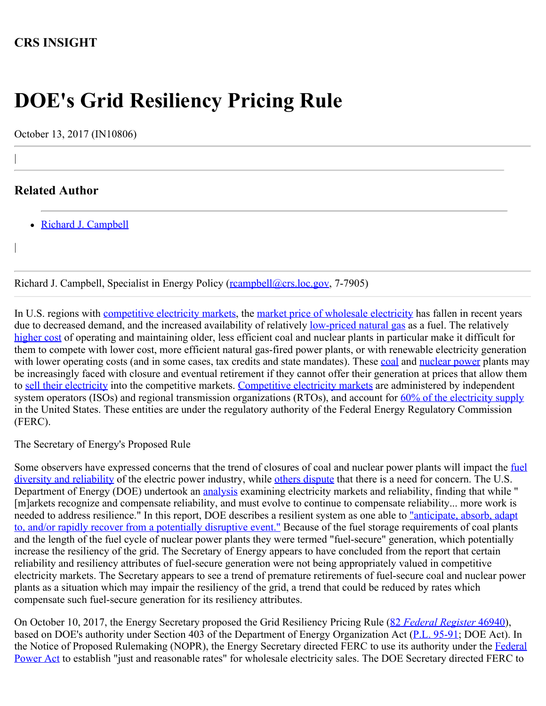## **CRS INSIGHT**

# **DOE's Grid Resiliency Pricing Rule**

October 13, 2017 (IN10806)

### **Related Author**

|

|

• [Richard J. Campbell](http://www.crs.gov/Author/index?id=101295)

Richard J. Campbell, Specialist in Energy Policy (reampbell@crs.loc.gov, 7-7905)

In U.S. regions with [competitive electricity markets,](https://www.eia.gov/todayinenergy/detail.php?id=790) the [market price of wholesale electricity](https://www.eia.gov/todayinenergy/detail.php?id=29512) has fallen in recent years due to decreased demand, and the increased availability of relatively <u>low-priced natural gas</u> as a fuel. The relatively [higher cost](https://cleantechnica.com/2017/08/02/old-coal-nuclear-costs-dont-compete-wind-solar-costs-interview-ge-vice-chairman-john-g-rice/) of operating and maintaining older, less efficient coal and nuclear plants in particular make it difficult for them to compete with lower cost, more efficient natural gas-fired power plants, or with renewable electricity generation with lower operating costs (and in some cases, tax credits and state mandates). These [coal](https://www.eia.gov/todayinenergy/detail.php?id=15031) and [nuclear power](http://www.industryweek.com/energy-management/us-nuclear-plant-shuts-down-cant-compete-natural-gas) plants may be increasingly faced with closure and eventual retirement if they cannot offer their generation at prices that allow them to [sell their electricity](http://www.crs.gov/Reports/R44715) into the competitive markets. [Competitive electricity markets](http://www.crs.gov/Reports/R43093) are administered by independent system operators (ISOs) and regional transmission organizations (RTOs), and account for [60% of the electricity supply](https://www.eia.gov/todayinenergy/detail.php?id=790) in the United States. These entities are under the regulatory authority of the Federal Energy Regulatory Commission (FERC).

The Secretary of Energy's Proposed Rule

Some observers have expressed concerns that the trend of closures of coal and nuclear power plants will impact the [fuel](http://www.world-nuclear-news.org/NP-Diversity-key-to-US-grid-resilience-2509177.html) [diversity and reliability](http://www.world-nuclear-news.org/NP-Diversity-key-to-US-grid-resilience-2509177.html) of the electric power industry, while [others dispute](http://www.analysisgroup.com/uploadedfiles/content/insights/publishing/ag_markets_reliability_final_june_2017.pdf) that there is a need for concern. The U.S. Department of Energy (DOE) undertook an [analysis](https://energy.gov/sites/prod/files/2017/08/f36/Staff%20Report%20on%20Electricity%20Markets%20and%20Reliability_0.pdf) examining electricity markets and reliability, finding that while " [m]arkets recognize and compensate reliability, and must evolve to continue to compensate reliability... more work is needed to address resilience." In this report, DOE describes a resilient system as one able to ["anticipate, absorb, adapt](http://www.nerc.com/comm/OC/SIRTF%20Related%20Files%20DL/SIRTF_Final_May_9_2012-Board_Accepted.pdf) [to, and/or rapidly recover from a potentially disruptive event."](http://www.nerc.com/comm/OC/SIRTF%20Related%20Files%20DL/SIRTF_Final_May_9_2012-Board_Accepted.pdf) Because of the fuel storage requirements of coal plants and the length of the fuel cycle of nuclear power plants they were termed "fuel-secure" generation, which potentially increase the resiliency of the grid. The Secretary of Energy appears to have concluded from the report that certain reliability and resiliency attributes of fuel-secure generation were not being appropriately valued in competitive electricity markets. The Secretary appears to see a trend of premature retirements of fuel-secure coal and nuclear power plants as a situation which may impair the resiliency of the grid, a trend that could be reduced by rates which compensate such fuel-secure generation for its resiliency attributes.

On October 10, 2017, the Energy Secretary proposed the Grid Resiliency Pricing Rule ([82](https://www.gpo.gov/fdsys/pkg/FR-2017-10-10/pdf/2017-21396.pdf) *[Federal Register](https://www.gpo.gov/fdsys/pkg/FR-2017-10-10/pdf/2017-21396.pdf)* [46940\)](https://www.gpo.gov/fdsys/pkg/FR-2017-10-10/pdf/2017-21396.pdf), based on DOE's authority under Section 403 of the Department of Energy Organization Act [\(P.L. 95-91](http://www.congress.gov/cgi-lis/bdquery/R?d095:FLD002:@1(95+91)); DOE Act). In the Notice of Proposed Rulemaking (NOPR), the Energy Secretary directed FERC to use its authority under the [Federal](http://www.crs.gov/Reports/R44783) [Power Act](http://www.crs.gov/Reports/R44783) to establish "just and reasonable rates" for wholesale electricity sales. The DOE Secretary directed FERC to